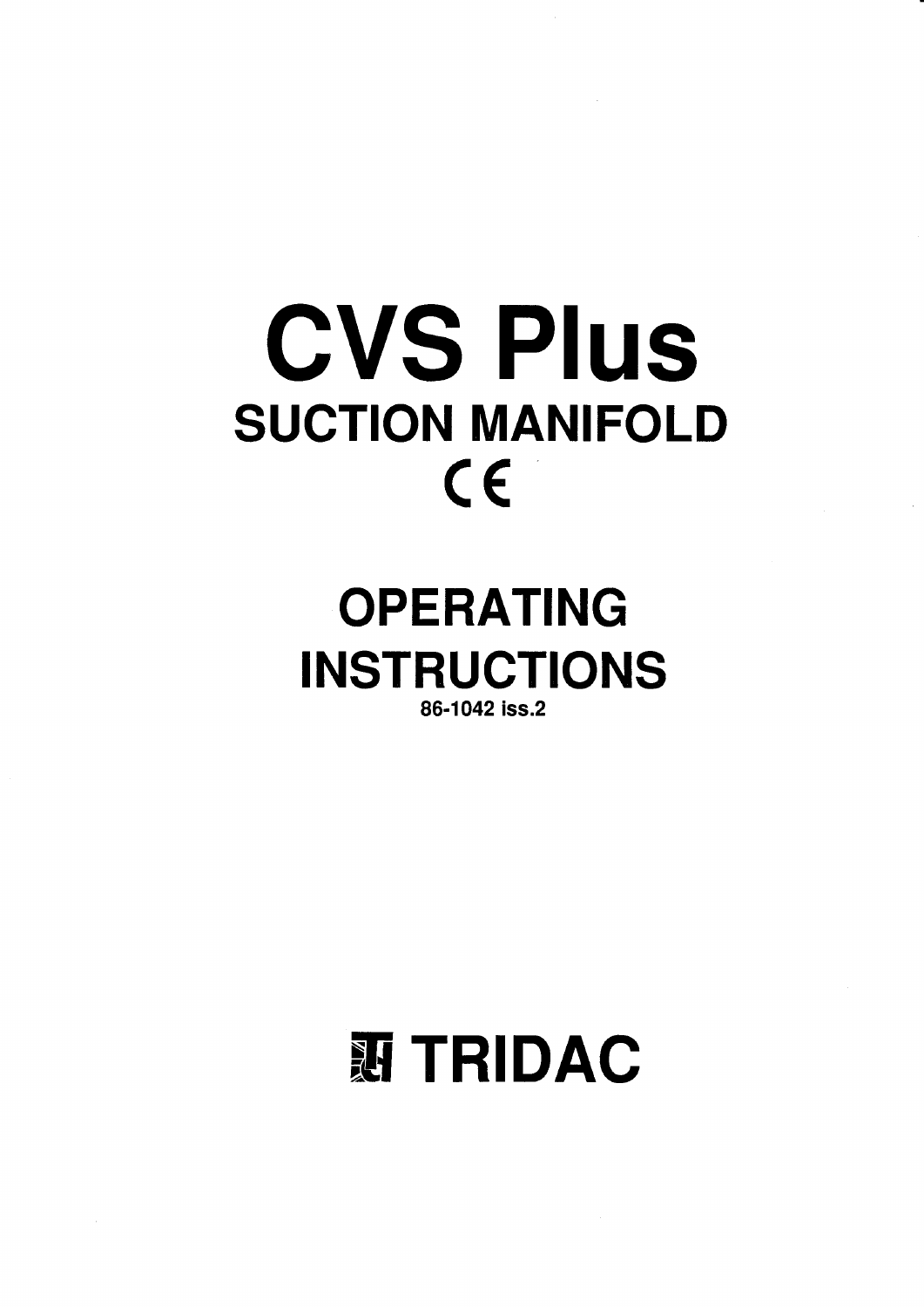# **CVS Plus SUCTION MANIFOLD**  $\epsilon$

## **OPERATING INSTRUCTIONS** 86-1042 iss.2

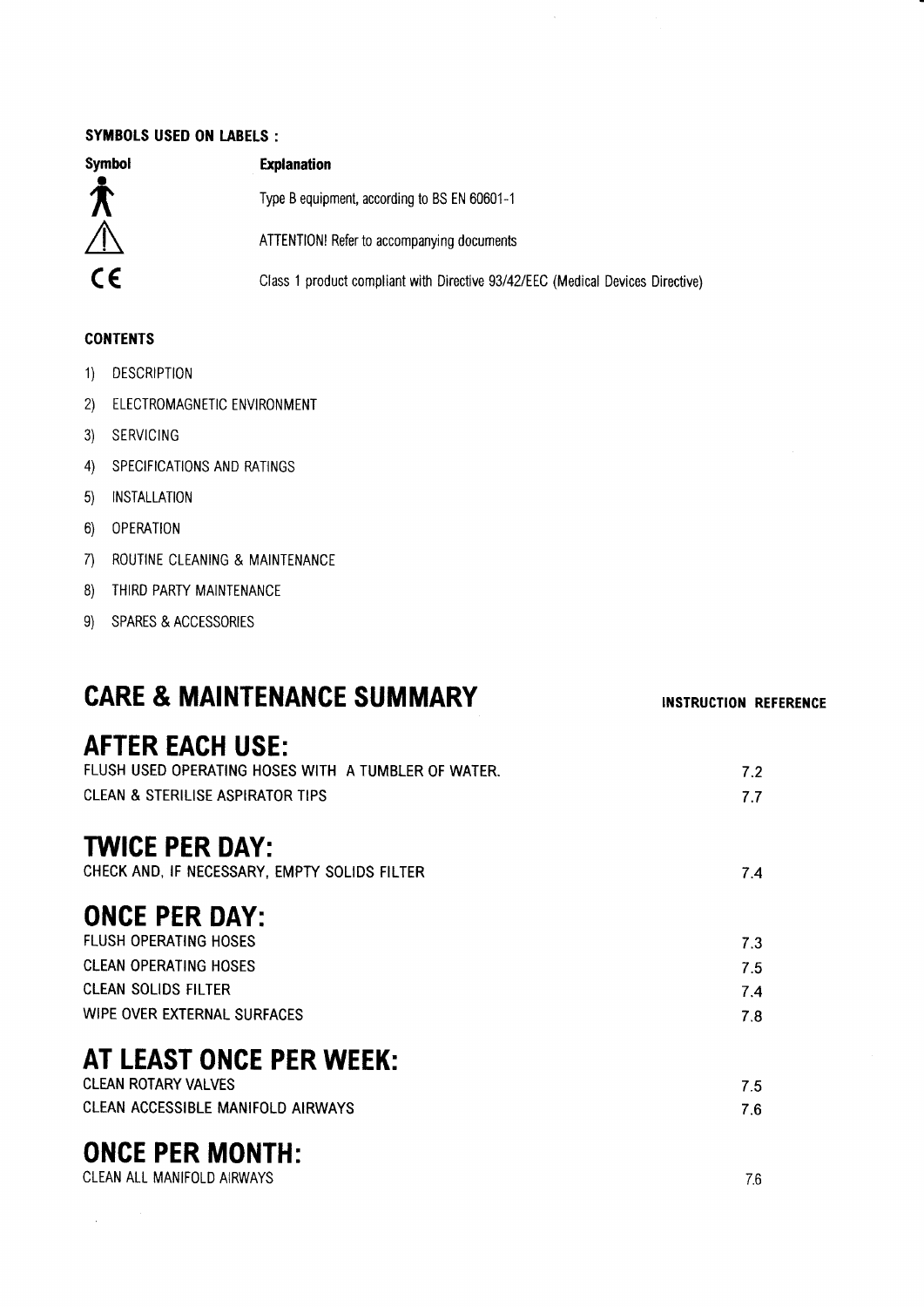#### SYMBOLS USED ON LABELS :

| <b>Symbol</b>            | <b>Explanation</b>                                                             |
|--------------------------|--------------------------------------------------------------------------------|
| $\boldsymbol{\hat{\pi}}$ | Type B equipment, according to BS EN 60601-1                                   |
| $\bigwedge$              | ATTENTION! Refer to accompanying documents                                     |
| CE.                      | Class 1 product compliant with Directive 93/42/EEC (Medical Devices Directive) |

#### **CONTENTS**

- 1) DESCRIPTION
- 2) ELECTROMAGNETIC ENVIRONMENT
- 3) SERVICING
- 4) SPECIFICATIONS AND RATINGS
- 5) INSTALLATION
- 6) 0PERAT|0N
- 7) ROUTINE CLEANING & MAINTENANCE
- 8) THIRD PARTY MAINTENANCE
- 9) SPARES & ACCESSORIES

## CARE & MAINTENANCE SUMMARY

INSTRUCTION REFERENCE

## AFTER EACH USE:

| FLUSH USED OPERATING HOSES WITH A TUMBLER OF WATER. | 7.2 |
|-----------------------------------------------------|-----|
| CLEAN & STERILISE ASPIRATOR TIPS                    | 7.7 |
| <b>TWICE PER DAY:</b>                               |     |
| CHECK AND, IF NECESSARY, EMPTY SOLIDS FILTER        | 7.4 |
| <b>ONCE PER DAY:</b>                                |     |
| <b>FLUSH OPERATING HOSES</b>                        | 7.3 |
| <b>CLEAN OPERATING HOSES</b>                        | 7.5 |
| CLEAN SOLIDS FILTER                                 | 7.4 |
| WIPE OVER EXTERNAL SURFACES                         | 7.8 |

## AT LEAST ONCE PER WEEK:

| CLEAN ROTARY VALVES               |     |
|-----------------------------------|-----|
| CLEAN ACCESSIBLE MANIFOLD AIRWAYS | 7.6 |

## ONCE PER MONTH:

 $\hat{\boldsymbol{\beta}}$ 

| CLEAN ALL MANIFOLD AIRWAYS | 70 |
|----------------------------|----|
|                            |    |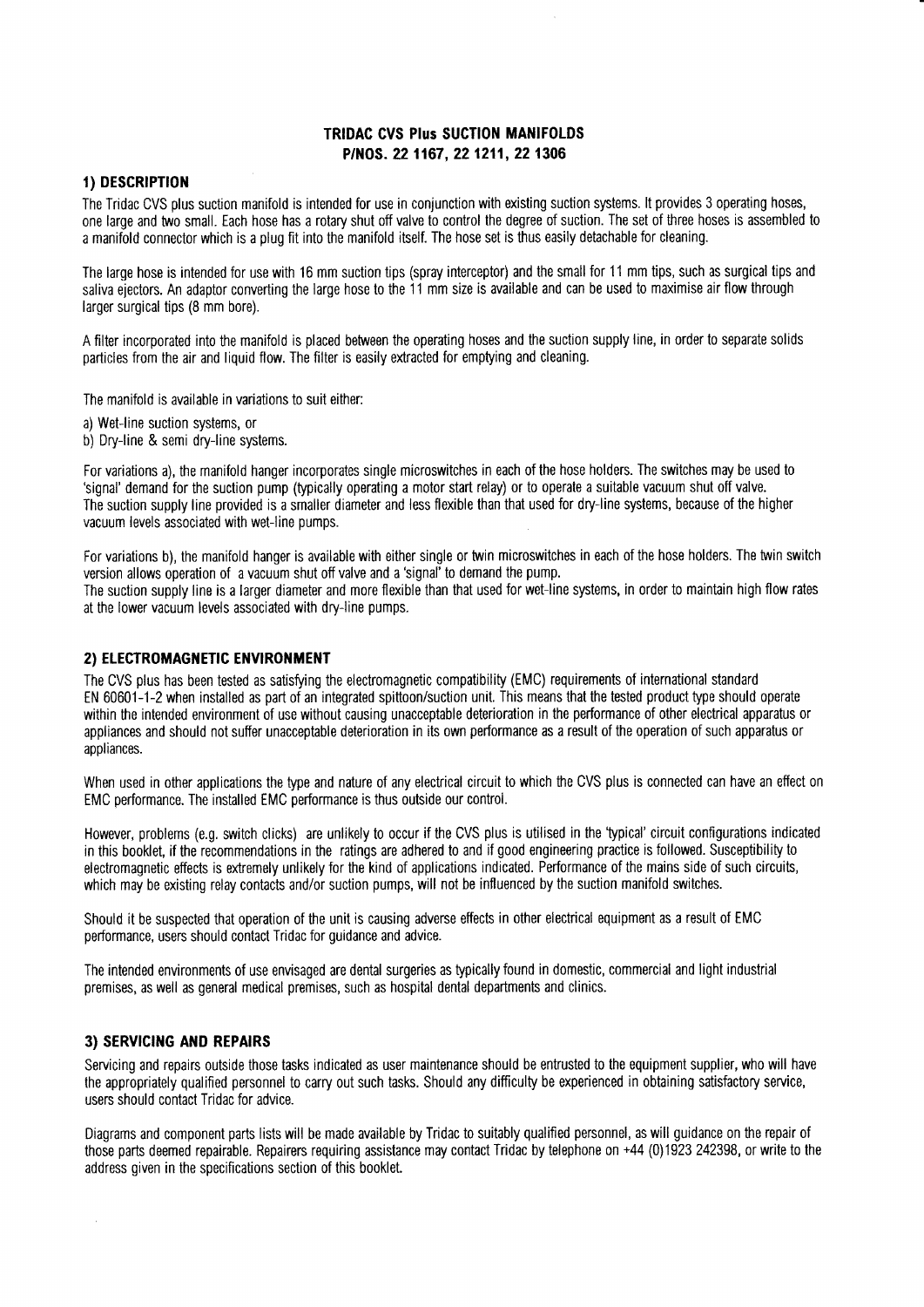#### **TRIDAC CVS Plus SUCTION MANIFOLDS** P/NOS. 22 1167, 22 1211, 22 1306

#### 1) DESCRIPTION

The Tridac CVS plus suction manifold is intended for use in conjunction with existing suction systems. It provides 3 operating hoses, one large and two small. Each hose has a rotary shut off valve to control the degree of suction. The set of three hoses is assembled to a manifold connector which is a plug fit into the manifold itself. The hose set is thus easily detachable for cleaning.

The large hose is intended for use with 16 mm suction tips (spray interceptor) and the small for 11 mm tips, such as surgical tips and saliva ejectors. An adaptor converting the large hose to the 11 mm size is available and can be used to maximise air flow through larger surgical tips (8 mm bore).

A filter incorporated into the manifold is placed between the operating hoses and the suction supply line, in order to separate solids particles from the air and liquid flow. The filter is easily extracted for emptying and cleaning.

The manifold is available in variations to suit either:

a) Wet-line suction systems, or

b) Dry-line & semi dry-line systems.

For variations a), the manifold hanger incorporates single microswitches in each of the hose holders. The switches may be used to 'signal' demand for the suction pump (typically operating a motor start relay) or to operate a suitable vacuum shut off valve. The suction supply line provided is a smaller diameter and less flexible than that used for dry-line systems, because of the higher vacuum levels associated with wet-line pumps.

For variations b), the manifold hanger is available with either single or twin microswitches in each of the hose holders. The twin switch version allows operation of a vacuum shut off valve and a 'signal' to demand the pump.

The suction supply line is a larger diameter and more flexible than that used for wet-line systems, in order to maintain high flow rates at the lower vacuum levels associated with dry-line pumps.

#### 2) ELECTROMAGNETIC ENVIRONMENT

The CVS plus has been tested as satisfying the electromagnetic compatibility (EMC) requirements of international standard EN 60601-1-2 when installed as part of an integrated spittoon/suction unit. This means that the tested product type should operate within the intended environment of use without causing unacceptable deterioration in the performance of other electrical apparatus or appliances and should not suffer unacceptable deterioration in its own performance as a result of the operation of such apparatus or appliances.

When used in other applications the type and nature of any electrical circuit to which the CVS plus is connected can have an effect on EMC performance. The installed EMC performance is thus outside our control.

However, problems (e.g. switch clicks) are unlikely to occur if the CVS plus is utilised in the 'typical' circuit configurations indicated in this booklet, if the recommendations in the ratings are adhered to and if good engineering practice is followed. Susceptibility to electromagnetic effects is extremely unlikely for the kind of applications indicated. Performance of the mains side of such circuits, which may be existing relay contacts and/or suction pumps, will not be influenced by the suction manifold switches.

Should it be suspected that operation of the unit is causing adverse effects in other electrical equipment as a result of EMC performance, users should contact Tridac for guidance and advice.

The intended environments of use envisaged are dental surgeries as typically found in domestic, commercial and light industrial premises, as well as general medical premises, such as hospital dental departments and clinics.

#### 3) SERVICING AND REPAIRS

Servicing and repairs outside those tasks indicated as user maintenance should be entrusted to the equipment supplier, who will have the appropriately qualified personnel to carry out such tasks. Should any difficulty be experienced in obtaining satisfactory service, users should contact Tridac for advice.

Diagrams and component parts lists will be made available by Tridac to suitably qualified personnel, as will guidance on the repair of those parts deemed repairable. Repairers requiring assistance may contact Tridac by telephone on +44 (0)1923 242398, or write to the address given in the specifications section of this booklet.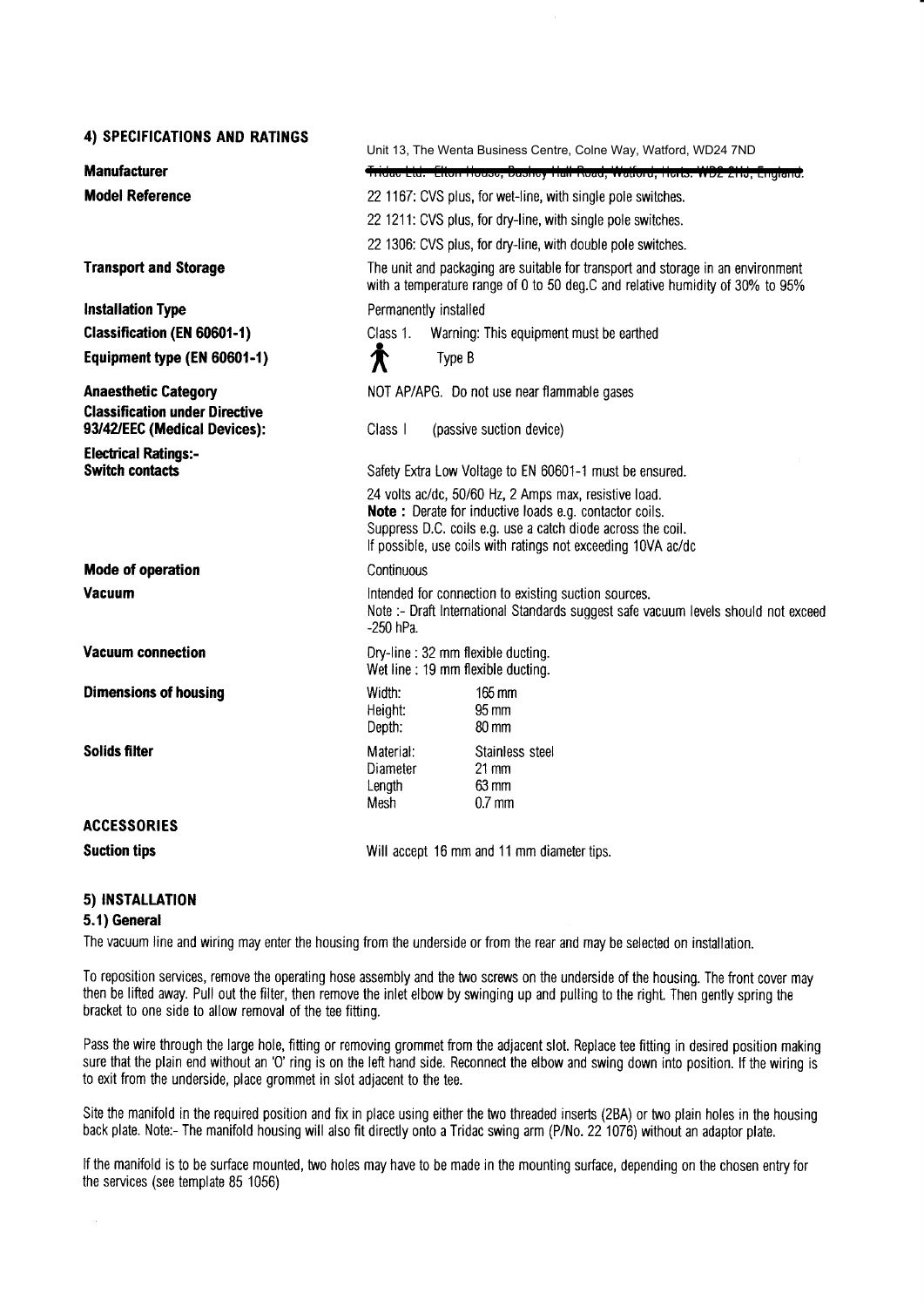| 4) SPECIFICATIONS AND RATINGS                                        |                                                                                                                                                                  | Unit 13, The Wenta Business Centre, Colne Way, Watford, WD24 7ND                                                                                                                                                                                      |  |  |  |
|----------------------------------------------------------------------|------------------------------------------------------------------------------------------------------------------------------------------------------------------|-------------------------------------------------------------------------------------------------------------------------------------------------------------------------------------------------------------------------------------------------------|--|--|--|
| <b>Manufacturer</b>                                                  | Tridae Ltd. Elton House, Dushey Hall Read, Walford, Herts. WD2 2HJ, England.                                                                                     |                                                                                                                                                                                                                                                       |  |  |  |
| <b>Model Reference</b>                                               | 22 1167: CVS plus, for wet-line, with single pole switches.<br>22 1211: CVS plus, for dry-line, with single pole switches.                                       |                                                                                                                                                                                                                                                       |  |  |  |
|                                                                      |                                                                                                                                                                  |                                                                                                                                                                                                                                                       |  |  |  |
|                                                                      | 22 1306: CVS plus, for dry-line, with double pole switches.                                                                                                      |                                                                                                                                                                                                                                                       |  |  |  |
| <b>Transport and Storage</b>                                         | The unit and packaging are suitable for transport and storage in an environment<br>with a temperature range of 0 to 50 deg.C and relative humidity of 30% to 95% |                                                                                                                                                                                                                                                       |  |  |  |
| <b>Installation Type</b>                                             | Permanently installed                                                                                                                                            |                                                                                                                                                                                                                                                       |  |  |  |
| <b>Classification (EN 60601-1)</b>                                   | Class 1.                                                                                                                                                         | Warning: This equipment must be earthed                                                                                                                                                                                                               |  |  |  |
| Equipment type (EN 60601-1)                                          | 倉                                                                                                                                                                | Type B                                                                                                                                                                                                                                                |  |  |  |
| <b>Anaesthetic Category</b><br><b>Classification under Directive</b> | NOT AP/APG. Do not use near flammable gases                                                                                                                      |                                                                                                                                                                                                                                                       |  |  |  |
| 93/42/EEC (Medical Devices):                                         | Class I                                                                                                                                                          | (passive suction device)                                                                                                                                                                                                                              |  |  |  |
| <b>Electrical Ratings:-</b><br><b>Switch contacts</b>                | Safety Extra Low Voltage to EN 60601-1 must be ensured.                                                                                                          |                                                                                                                                                                                                                                                       |  |  |  |
|                                                                      |                                                                                                                                                                  | 24 volts ac/dc, 50/60 Hz, 2 Amps max, resistive load.<br><b>Note:</b> Derate for inductive loads e.g. contactor coils.<br>Suppress D.C. coils e.g. use a catch diode across the coil.<br>If possible, use coils with ratings not exceeding 10VA ac/dc |  |  |  |
| Mode of operation                                                    | Continuous                                                                                                                                                       |                                                                                                                                                                                                                                                       |  |  |  |
| Vacuum                                                               | Intended for connection to existing suction sources.<br>Note :- Draft International Standards suggest safe vacuum levels should not exceed<br>-250 hPa.          |                                                                                                                                                                                                                                                       |  |  |  |
| <b>Vacuum connection</b>                                             | Dry-line: 32 mm flexible ducting.<br>Wet line: 19 mm flexible ducting.                                                                                           |                                                                                                                                                                                                                                                       |  |  |  |
| <b>Dimensions of housing</b>                                         | Width:<br>Height:<br>Depth:                                                                                                                                      | 165 mm<br>95 mm<br>80 mm                                                                                                                                                                                                                              |  |  |  |
| Solids filter                                                        | Material:<br>Diameter<br>Length<br>Mesh                                                                                                                          | Stainless steel<br>$21 \text{ mm}$<br>$63 \text{ mm}$<br>$0.7$ mm                                                                                                                                                                                     |  |  |  |
| <b>ACCESSORIES</b>                                                   |                                                                                                                                                                  |                                                                                                                                                                                                                                                       |  |  |  |
| <b>Suction tips</b>                                                  |                                                                                                                                                                  | Will accept 16 mm and 11 mm diameter tips.                                                                                                                                                                                                            |  |  |  |
|                                                                      |                                                                                                                                                                  |                                                                                                                                                                                                                                                       |  |  |  |

#### 5) INSTALLATION

#### 5.1) General

The vacuum line and wiring may enter the housing from the underside or from the rear and may be selected on installation.

To reposition services, remove the operating hose assembly and the two screws on the underside of the housing. The front cover may then be lifted away. Pull out the filter, then remove the inlet elbow by swinging up and pulling to the right. Then gently spring the bracket to one side to allow removal of the tee fitting.

Pass the wire through the large hole, fitting or removing grommet from the adjacent slot. Replace tee fitting in desired position making sure that the plain end without an 'O' ring is on the left hand side. Reconnect the elbow and swing down into position. If the wiring is to exit from the underside, place grommet in slot adiacent to the tee.

Site the manifold in the required position and fix in place using either the two threaded inserts (2BA) or two plain holes in the housing back plate. Note:- The manifold housing will also fit directly onto a Tridac swing arm (P/No. 22 1076) without an adaptor plate.

lf the manifold is to be surface mounted, two holes may have to be made in the mounting surface, depending on the chosen entry for the services (see template 85 1056)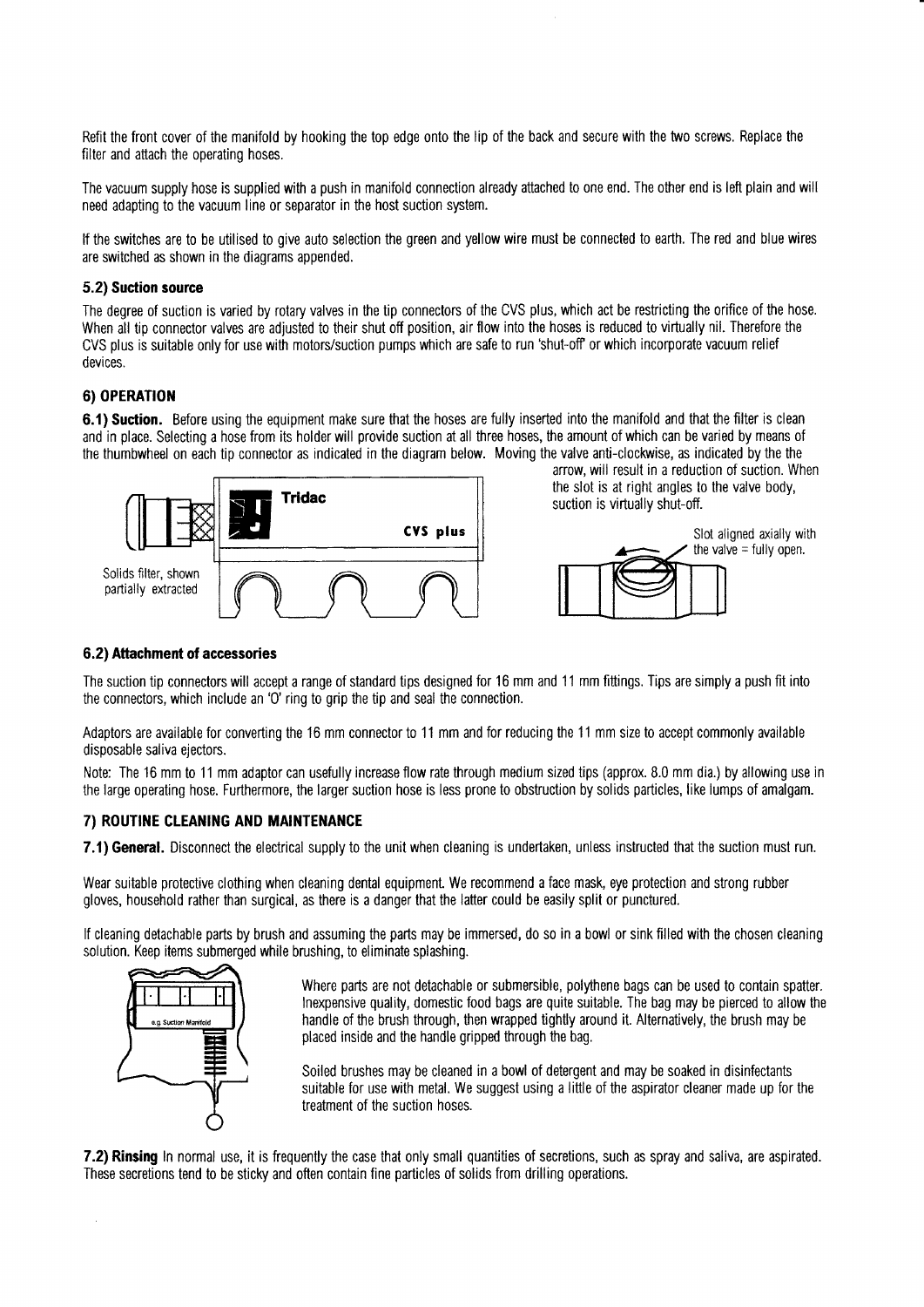Refit the front cover of the manifold by hooking the top edge onto the lip of the back and secure with the two screws. Replace the filter and attach the operating hoses.

The vacuum supply hose is supplied with a push in manifold connection already attached to one end. The other end is left plain and will need adapting to the vacuum line or separator in the host suction system.

lf the switches are to be utilised to give auto selection the green and yellow wire must be connected to earth. The red and blue wires are switched as shown in the diagrams appended.

#### 5.2) Suction source

The degree of suction is varied by rotary valves in the tip connectors of the CVS plus, which act be restricting the orifice of the hose. When all tip connector valves are adjusted to their shut off position, air flow into the hoses is reduced to virtually nil. Therefore the CVS plus is suitable only for use with motors/suction pumps which are safe to run 'shut-0ff or which incorporate vacuum relief devices.

#### 6) OPERATION

6.1) Suction. Before using the equipment make sure that the hoses are fully inserted into the manifold and that the filter is clean and in place. Selecting a hose from its holderwill provide suction at all three hoses, the amount of which can be varied by means of the thumbwheel on each tip connector as indicated in the diagram below. Moving the valve anti-clockwise, as indicated by the the



arrow, will result in a reduction of suction. When the slot is at right angles to the valve body, suction is virtually shut-off.



#### 6.2) Attachment of aceessories

The suction tip connectors will accept a range of standard tips designed for 16 mm and 11 mm fittings. Tips are simply a push fit into the connectors, which include an '0' ring to grip the tip and seal the connection.

Adaptors are available for converting the 16 mm connector to 11 mm and for reducing the 11 mm size to accept commonly available disposable saliva ejectors.

Note: The 16 mm to 11 mm adaptor can usefully increase flow rate through medium sized tips (approx. 8.0 mm dia.) by allowing use in the large operating hose. Furthermore, the larger suction hose is less prone to obstruction by solids particles, like lumps of amalgam.

#### 7) ROUTINE CLEANING AND MAINTENANCE

7.1) General. Disconnect the electrical supply to the unit when cleaning is undertaken, unless instructed that the suction must run.

Wear suitable protective clothing when cleaning dental equipment. We recommend a face mask, eye protection and strong rubber gloves, household rather than surgical, as there is a danger that the lafter could be easily split or punctured.

lf cleaning detachable parts by brush and assuming the parts may be immersed, do so in a bowl or sink filled with the chosen cleaning solution. Keep items submerged while brushing, to eliminate splashing.



Where parts are not detachable or submersible, polythene bags can be used to contain spatter. lnexpensive quality, domestic food bags are quite suitable. The bag may be pierced to allow the handle of the brush through, then wrapped tightly around it. Alternatively, the brush may be placed inside and the handle gripped through the bag.

Soiled brushes may be cleaned in a bowl of detergent and may be soaked in disinfectants suitable for use with metal. We suggest using a little of the aspirator cleaner made up for the treatment of the suction hoses.

7.2) Rinsing In normal use, it is frequently the case that only small quantities of secretions, such as spray and saliva, are aspirated. These secretions tend to be sticky and often contain fine particles of solids from drilling operations.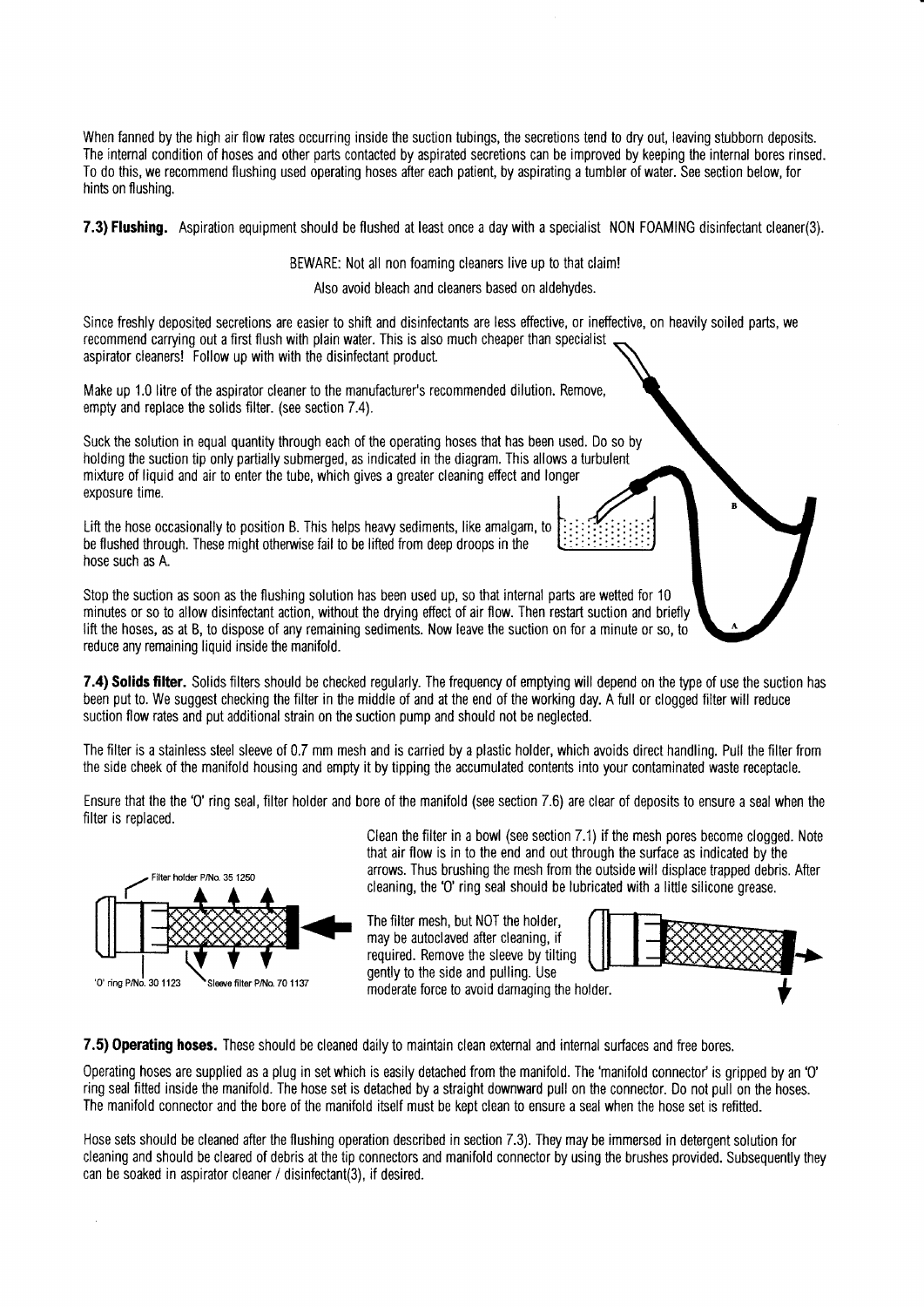When fanned by the high air flow rates occurring inside the suction tubings, the secretions tend to dry out, leaving stubborn deposits. The internal condition of hoses and other parts contacted by aspirated secretions can be improved by keeping the internal bores rinsed. To do this, we recommend flushing used operating hoses after each patient, by aspirating a tumbler of water. See section below, for hints on flushing.

7.3) Flushing. Aspiration equipment should be flushed at least once a day with a specialist NON FOAMING disinfectant cleaner(3).

BEWARE: Not all non foaming cleaners live up to that claim!

Also avoid bleach and cleaners based on aldehydes.

Since freshly deposited secretions are easier to shift and disinfectants are less effective, or ineffective, on heavily soiled parts, we recommend carrying out a first flush with plain water. This is also much cheaper than specialist aspirator cleaners! Follow up with with the disinfectant product.

Make up 1.0 litre of the aspirator cleaner to the manufacturer's recommended dilution. Remove, empty and replace the solids filter. (see section 7.4).

Suck the solution in equal quantity through each of the operating hoses that has been used. Do so by holding the suction tip only partially submerged, as indicated in the diagram. This allows a turbulent mixture of liquid and air to enter the tube, which gives a greater cleaning effect and longer exposure time.

Lift the hose occasionally to position B. This helps heavy sediments, like amalgam, to be flushed through. These might otherwise fail to be lifted from deep droops in the hose such as A.

Stop the suction as soon as the flushing solution has been used up, so that internal parts are wetted for 10 minutes or so to allow disinfectant action, without the drying effect of air flow. Then restart suction and briefly lift the hoses, as at B, to dispose of any remaining sediments. Now leave the suction on for a minute or so, to reduce any remaining Iiquid inside the manifold.

7.4) Solids filter. Solids filters should be checked regularly. The frequency of emptying will depend on the type of use the suction has been put to. We suggest checking the filter in the middle of and at the end of the working day. A full or clogged filter will reduce suction flow rates and put additional strain on the suction pump and should not be neglected.

The filter is a stainless steel sleeve of 0.7 mm mesh and is carried by a plastic holder, which avoids direct handling. Pull the filter from the side cheek of the manifold housing and empty it by tipping the accumulated contents into your contaminated waste receptacle.

Ensure that the the '0' ring seal, filter holder and bore of the manifold (see section 7.6) are clear of deposits to ensure a seal when the filter is replaced.



Clean the filter in a bowl (see section  $7.1$ ) if the mesh pores become clogged. Note that air flow is in to the end and out through the surface as indicated by the arrows. Thus brushing the mesh from the outside will displace trapped debris. After cleaning, the '0' ring seal should be lubricated with a little silicone grease.

The filter mesh, but NOT the holder, may be autoclaved after cleaning, if required. Remove the sleeve by tilting gently to the side and pulling. Use moderate force to avoid damaging the holder.



7.5) Operating hoses. These should be cleaned daily to maintain clean external and internal surfaces and free bores.

Operating hoses are supplied as a plug in setwhich is easily detached from the manifold. The'manifold connector'is gripped by an'0' ring seal fitted inside the manifold. The hose set is detached by a straight downward pull on the connector. Do not pull on the hoses. The manifold connector and the bore of the manifold itself must be kept clean to ensure a seal when the hose set is refitted.

Hose sets should be cleaned after the flushing operation described in section 7.3). They may be immersed in detergent solution for cleaning and should be cleared of debris at the tip connectors and manifold connector by using the brushes provided. Subsequently they can be soaked in aspirator cleaner / disinfectant(3), if desired.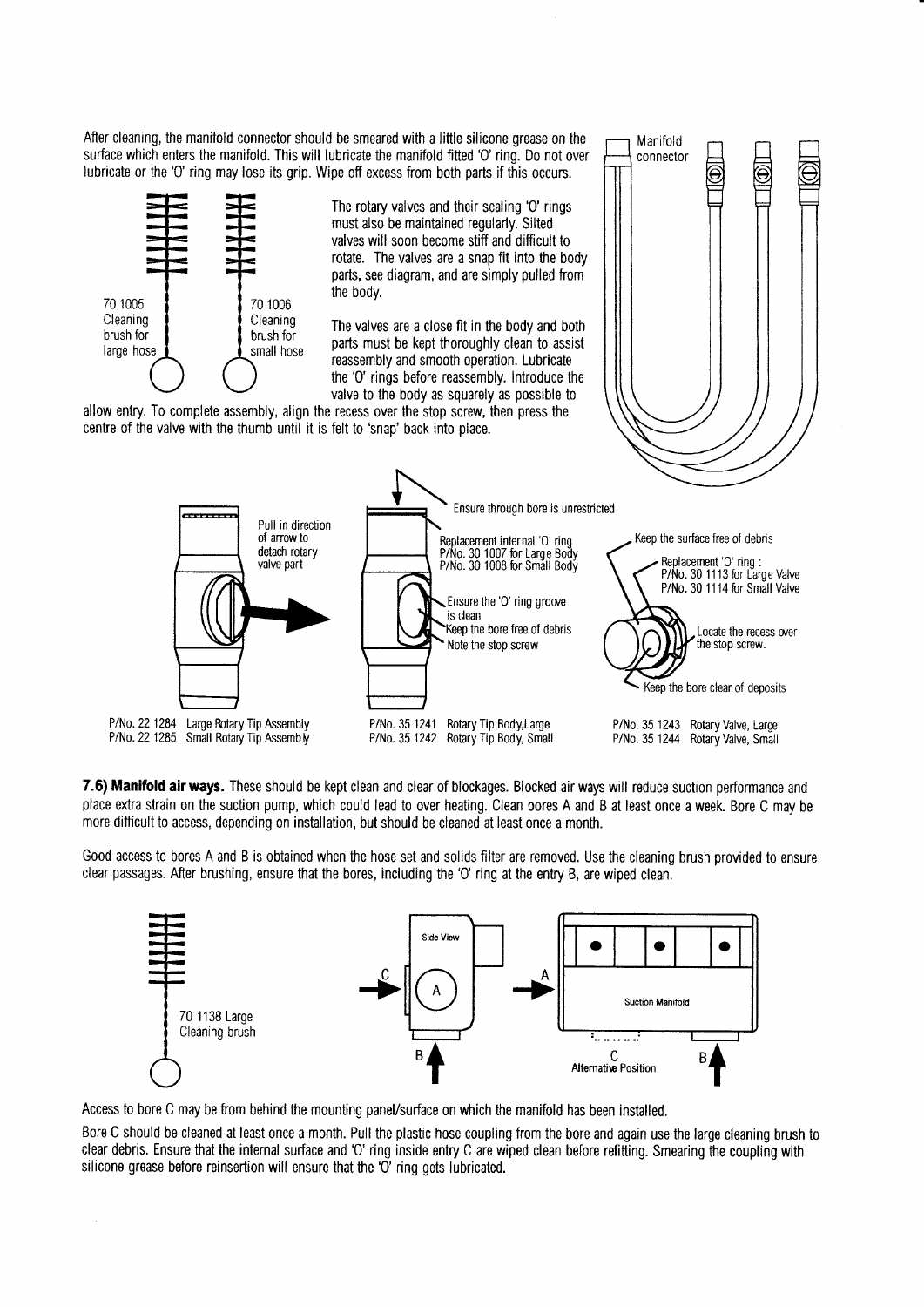After cleaning, the manifold connector should be smeared with a little silicone grease on the surface which enters the manifold. This will lubricate the manifold fitted 'O' ring. Do not over lubricate or the 'O' ring may lose its grip. Wipe off excess from both parts if this occurs.



The rotary valves and their sealing 'O' rings must also be maintained regularly. Silted valves will soon become stiff and difficult to rotate. The valves are a snap fit into the body parts, see diagram, and are simply pulled from the body.

Manifold

connector

The valves are a close fit in the body and both parts must be kept thoroughly clean to assist reassembly and smooth operation. Lubricate the 'O' rings before reassembly. Introduce the valve to the body as squarely as possible to

allow entry. To complete assembly, align the recess over the stop screw, then press the centre of the valve with the thumb until it is felt to 'snap' back into place.



7.6) Manifold air ways. These should be kept clean and clear of blockages. Blocked air ways will reduce suction performance and place extra strain on the suction pump, which could lead to over heating. Clean bores A and B at least once a week. Bore C may be more difficult to access, depending on installation, but should be cleaned at least once a month.

Good access to bores A and B is obtained when the hose set and solids filter are removed. Use the cleaning brush provided to ensure clear passages. After brushing, ensure that the bores, including the 'O' ring at the entry B, are wiped clean.



Access to bore C may be from behind the mounting panel/surface on which the manifold has been installed.

Bore C should be cleaned at least once a month. Pull the plastic hose coupling from the bore and again use the large cleaning brush to clear debris. Ensure that the internal surface and 'O' ring inside entry C are wiped clean before refitting. Smearing the coupling with silicone grease before reinsertion will ensure that the 'O' ring gets lubricated.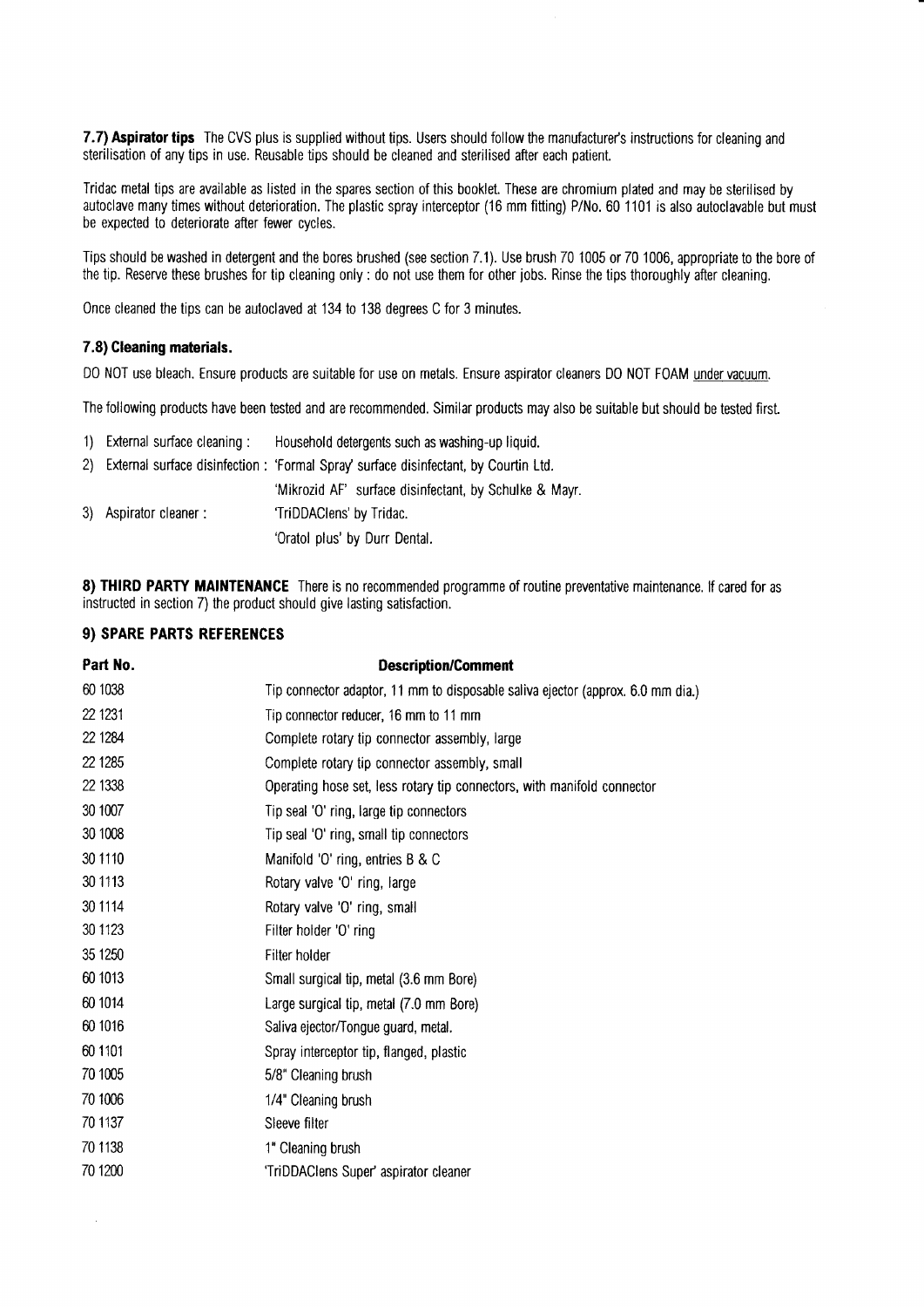7.7) Aspirator tips The CVS plus is supplied without tips. Users should follow the manufacturer's instructions for cleaning and sterilisation of any tips in use. Reusable tips should be cleaned and sterilised after each patient.

Tridac metal tips are available as listed in the spares section of this booklet. These are chromium plated and may be sterilised by autoclave manytimes without deterioration. The plastic spray interceptor (16 mm fitting) P/N0.60 1101 is also autoclavable but must be expected to deteriorate after fewer cycles.

Tips should be washed in detergent and the bores brushed (see section 7.1). Use brush 70 1005 or 70 1006, appropriate to the bore of the tip. Reserve these brushes for tip cleaning only : do not use them for other jobs. Rinse the tips thoroughly after cleaning.

Once cleaned the tips can be autoclaved at 134 to 138 degrees C for 3 minutes.

#### 7.8) Cleaning materials.

D0 NOT use bleach. Ensure products are suitable for use on metals. Ensure aspirator cleaners D0 NOT FOAM under vacuum.

The following products have been tested and are recommended. Similar products may also be suitable but should be tested first.

| 1) External surface cleaning: | Household detergents such as washing-up liquid.                                        |
|-------------------------------|----------------------------------------------------------------------------------------|
|                               | 2) External surface disinfection: 'Formal Spray' surface disinfectant, by Courtin Ltd. |
|                               | 'Mikrozid AF' surface disinfectant, by Schulke & Mayr.                                 |
| 3) Aspirator cleaner:         | 'TriDDAClens' by Tridac.                                                               |
|                               | 'Oratol plus' by Durr Dental.                                                          |

8) THIRD PARTY MAINTENANCE There is no recommended programme of routine preventative maintenance. If cared for as instructed in section 7) the product should give lasting satisfaction.

#### 9) SPARE PARTS REFERENCES

 $\overline{\phantom{a}}$ 

| Part No. | <b>Description/Comment</b>                                                      |
|----------|---------------------------------------------------------------------------------|
| 60 1038  | Tip connector adaptor, 11 mm to disposable saliva ejector (approx. 6.0 mm dia.) |
| 22 1231  | Tip connector reducer, 16 mm to 11 mm                                           |
| 22 1284  | Complete rotary tip connector assembly, large                                   |
| 22 1285  | Complete rotary tip connector assembly, small                                   |
| 22 1338  | Operating hose set, less rotary tip connectors, with manifold connector         |
| 30 1007  | Tip seal 'O' ring, large tip connectors                                         |
| 30 1008  | Tip seal 'O' ring, small tip connectors                                         |
| 30 1110  | Manifold 'O' ring, entries B & C                                                |
| 30 1113  | Rotary valve 'O' ring, large                                                    |
| 30 1114  | Rotary valve 'O' ring, small                                                    |
| 30 1123  | Filter holder 'O' ring                                                          |
| 35 1250  | Filter holder                                                                   |
| 60 1013  | Small surgical tip, metal (3.6 mm Bore)                                         |
| 60 1014  | Large surgical tip, metal (7.0 mm Bore)                                         |
| 60 1016  | Saliva ejector/Tongue guard, metal.                                             |
| 60 1101  | Spray interceptor tip, flanged, plastic                                         |
| 70 1005  | 5/8" Cleaning brush                                                             |
| 70 1006  | 1/4" Cleaning brush                                                             |
| 70 1137  | Sleeve filter                                                                   |
| 70 1138  | 1" Cleaning brush                                                               |
| 70 1200  | 'TriDDAClens Super' aspirator cleaner                                           |
|          |                                                                                 |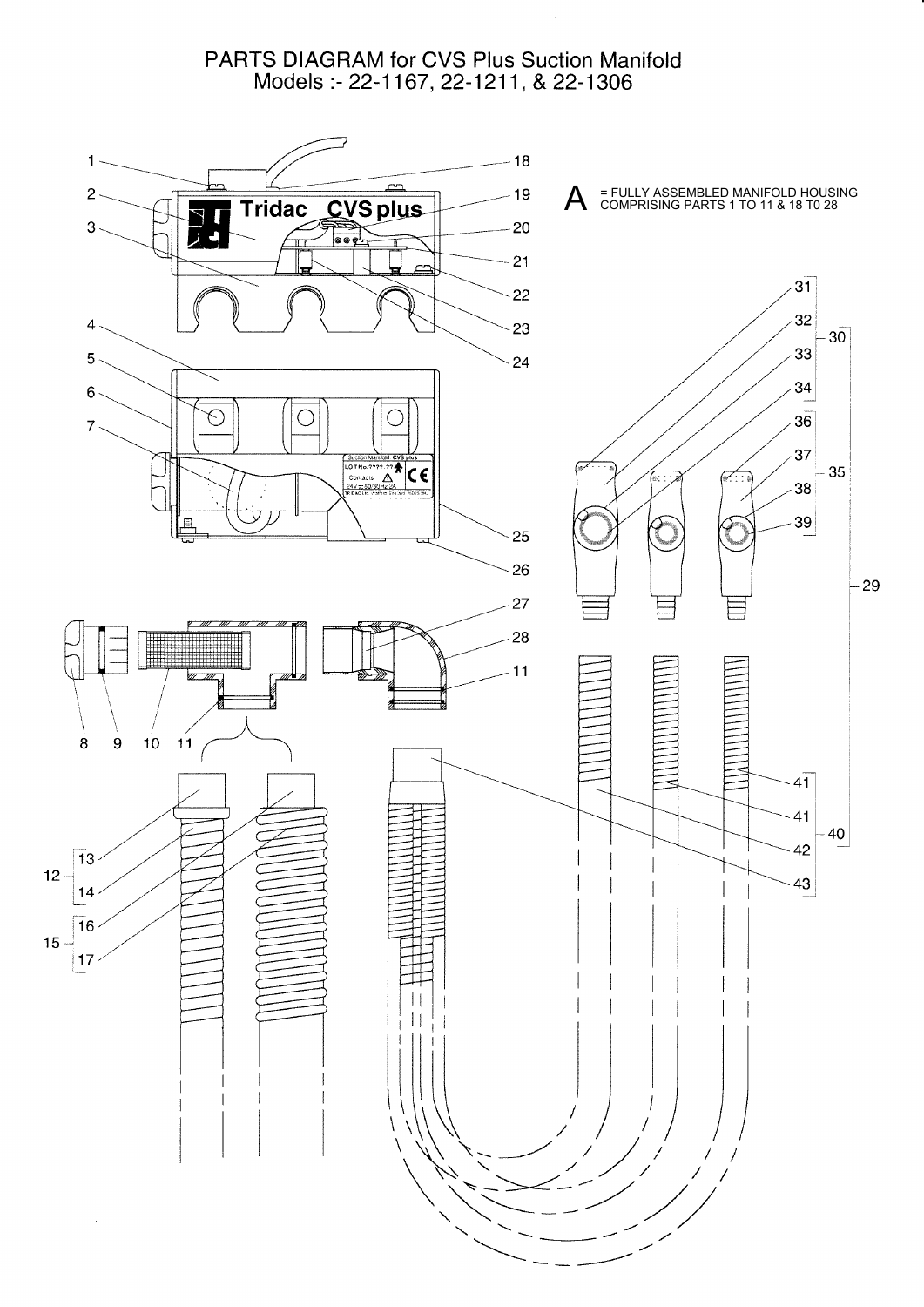#### PARTS DIAGRAM for CVS Plus Suction Manifold Models :- 22-1167, 22-1211, & 22-1306

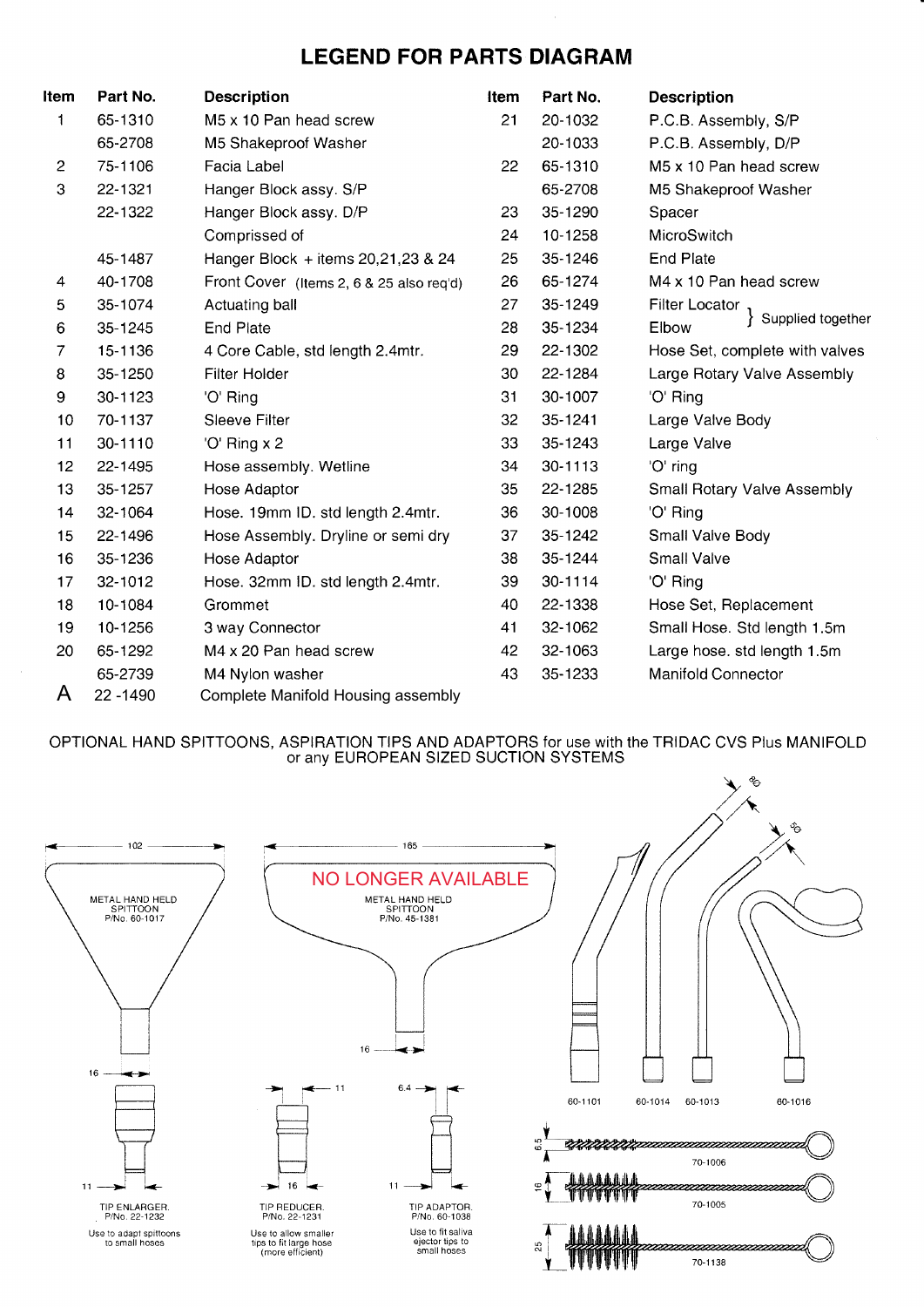### LEGEND FOR PARTS DIAGRAM

| ltem                      | Part No.  | <b>Description</b>                       | Item | Part No. | <b>Description</b>                 |
|---------------------------|-----------|------------------------------------------|------|----------|------------------------------------|
| 1                         | 65-1310   | M5 x 10 Pan head screw                   | 21   | 20-1032  | P.C.B. Assembly, S/P               |
|                           | 65-2708   | M5 Shakeproof Washer                     |      | 20-1033  | P.C.B. Assembly, D/P               |
| $\overline{c}$            | 75-1106   | Facia Label                              | 22   | 65-1310  | M5 x 10 Pan head screw             |
| $\ensuremath{\mathsf{3}}$ | 22-1321   | Hanger Block assy. S/P                   |      | 65-2708  | M5 Shakeproof Washer               |
|                           | 22-1322   | Hanger Block assy. D/P                   | 23   | 35-1290  | Spacer                             |
|                           |           | Comprissed of                            | 24   | 10-1258  | MicroSwitch                        |
|                           | 45-1487   | Hanger Block + items 20, 21, 23 & 24     | 25   | 35-1246  | <b>End Plate</b>                   |
| 4                         | 40-1708   | Front Cover (Items 2, 6 & 25 also req'd) | 26   | 65-1274  | M4 x 10 Pan head screw             |
| 5                         | 35-1074   | Actuating ball                           | 27   | 35-1249  | <b>Filter Locator</b>              |
| 6                         | 35-1245   | <b>End Plate</b>                         | 28   | 35-1234  | Supplied together<br>Elbow         |
| 7                         | 15-1136   | 4 Core Cable, std length 2.4mtr.         | 29   | 22-1302  | Hose Set, complete with valves     |
| 8                         | 35-1250   | Filter Holder                            | 30   | 22-1284  | Large Rotary Valve Assembly        |
| 9                         | 30-1123   | 'O' Ring                                 | 31   | 30-1007  | 'O' Ring                           |
| 10                        | 70-1137   | Sleeve Filter                            | 32   | 35-1241  | Large Valve Body                   |
| 11                        | 30-1110   | 'O' Ring x 2                             | 33   | 35-1243  | Large Valve                        |
| 12                        | 22-1495   | Hose assembly. Wetline                   | 34   | 30-1113  | 'O' ring                           |
| 13                        | 35-1257   | Hose Adaptor                             | 35   | 22-1285  | <b>Small Rotary Valve Assembly</b> |
| 14                        | 32-1064   | Hose. 19mm ID. std length 2.4mtr.        | 36   | 30-1008  | 'O' Ring                           |
| 15                        | 22-1496   | Hose Assembly. Dryline or semi dry       | 37   | 35-1242  | Small Valve Body                   |
| 16                        | 35-1236   | Hose Adaptor                             | 38   | 35-1244  | <b>Small Valve</b>                 |
| 17                        | 32-1012   | Hose. 32mm ID. std length 2.4mtr.        | 39   | 30-1114  | 'O' Ring                           |
| 18                        | 10-1084   | Grommet                                  | 40   | 22-1338  | Hose Set, Replacement              |
| 19                        | 10-1256   | 3 way Connector                          | 41   | 32-1062  | Small Hose. Std length 1.5m        |
| 20                        | 65-1292   | M4 x 20 Pan head screw                   | 42   | 32-1063  | Large hose. std length 1.5m        |
|                           | 65-2739   | M4 Nylon washer                          | 43   | 35-1233  | <b>Manifold Connector</b>          |
| A                         | 22 - 1490 | Complete Manifold Housing assembly       |      |          |                                    |

OPTIONAL HAND SPITTOONS, ASPIRATION TIPS AND ADAPTORS for use with the TRIDAC CVS Plus MANIFOLD or any EUROPEAN SIZED SUCTION SYSTEMS